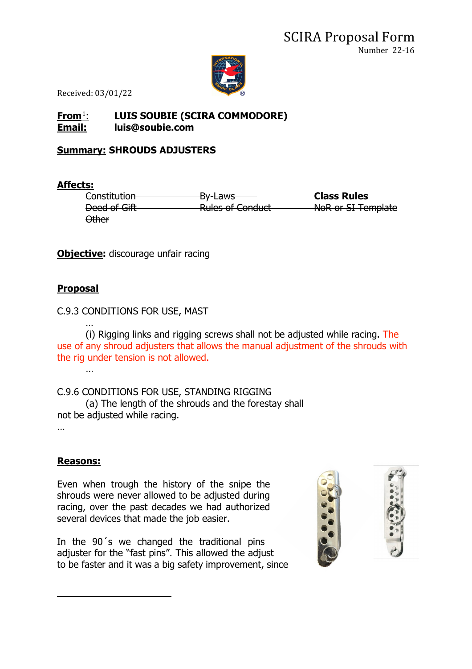

Received: 03/01/22

### **From**[1](#page-0-0): **LUIS SOUBIE (SCIRA COMMODORE) Email: luis@soubie.com**

## **Summary: SHROUDS ADJUSTERS**

#### **Affects:**

Constitution By-Laws **Class Rules** Deed of Gift Rules of Conduct NoR or SI Template Other

**Objective:** discourage unfair racing

### **Proposal**

…

C.9.3 CONDITIONS FOR USE, MAST

… (i) Rigging links and rigging screws shall not be adjusted while racing. The use of any shroud adjusters that allows the manual adjustment of the shrouds with the rig under tension is not allowed.

C.9.6 CONDITIONS FOR USE, STANDING RIGGING (a) The length of the shrouds and the forestay shall not be adjusted while racing.

…

# **Reasons:**

Even when trough the history of the snipe the shrouds were never allowed to be adjusted during racing, over the past decades we had authorized several devices that made the job easier.

<span id="page-0-0"></span>In the 90´s we changed the traditional pins adjuster for the "fast pins". This allowed the adjust to be faster and it was a big safety improvement, since

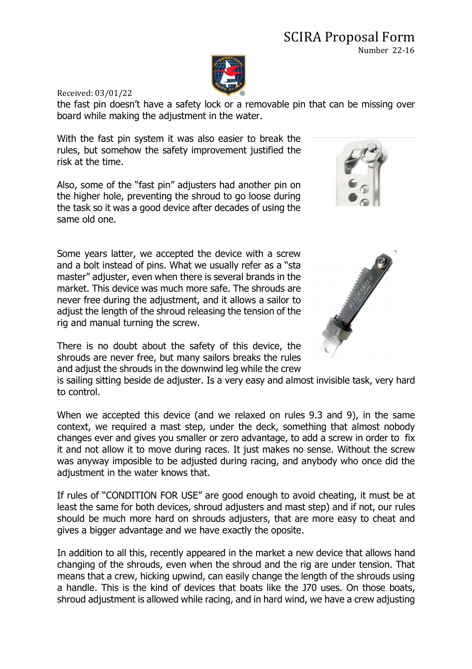### SCIRA Proposal Form Number 22-16



Received: 03/01/22

the fast pin doesn't have a safety lock or a removable pin that can be missing over board while making the adjustment in the water.

With the fast pin system it was also easier to break the rules, but somehow the safety improvement justified the risk at the time.

Also, some of the "fast pin" adjusters had another pin on the higher hole, preventing the shroud to go loose during the task so it was a good device after decades of using the same old one.

Some years latter, we accepted the device with a screw and a bolt instead of pins. What we usually refer as a "sta master" adjuster, even when there is several brands in the market. This device was much more safe. The shrouds are never free during the adjustment, and it allows a sailor to adjust the length of the shroud releasing the tension of the rig and manual turning the screw.

There is no doubt about the safety of this device, the shrouds are never free, but many sailors breaks the rules and adjust the shrouds in the downwind leg while the crew

is sailing sitting beside de adjuster. Is a very easy and almost invisible task, very hard to control.

When we accepted this device (and we relaxed on rules 9.3 and 9), in the same context, we required a mast step, under the deck, something that almost nobody changes ever and gives you smaller or zero advantage, to add a screw in order to fix it and not allow it to move during races. It just makes no sense. Without the screw was anyway imposible to be adjusted during racing, and anybody who once did the adjustment in the water knows that.

If rules of "CONDITION FOR USE" are good enough to avoid cheating, it must be at least the same for both devices, shroud adjusters and mast step) and if not, our rules should be much more hard on shrouds adjusters, that are more easy to cheat and gives a bigger advantage and we have exactly the oposite.

In addition to all this, recently appeared in the market a new device that allows hand changing of the shrouds, even when the shroud and the rig are under tension. That means that a crew, hicking upwind, can easily change the length of the shrouds using a handle. This is the kind of devices that boats like the J70 uses. On those boats, shroud adjustment is allowed while racing, and in hard wind, we have a crew adjusting